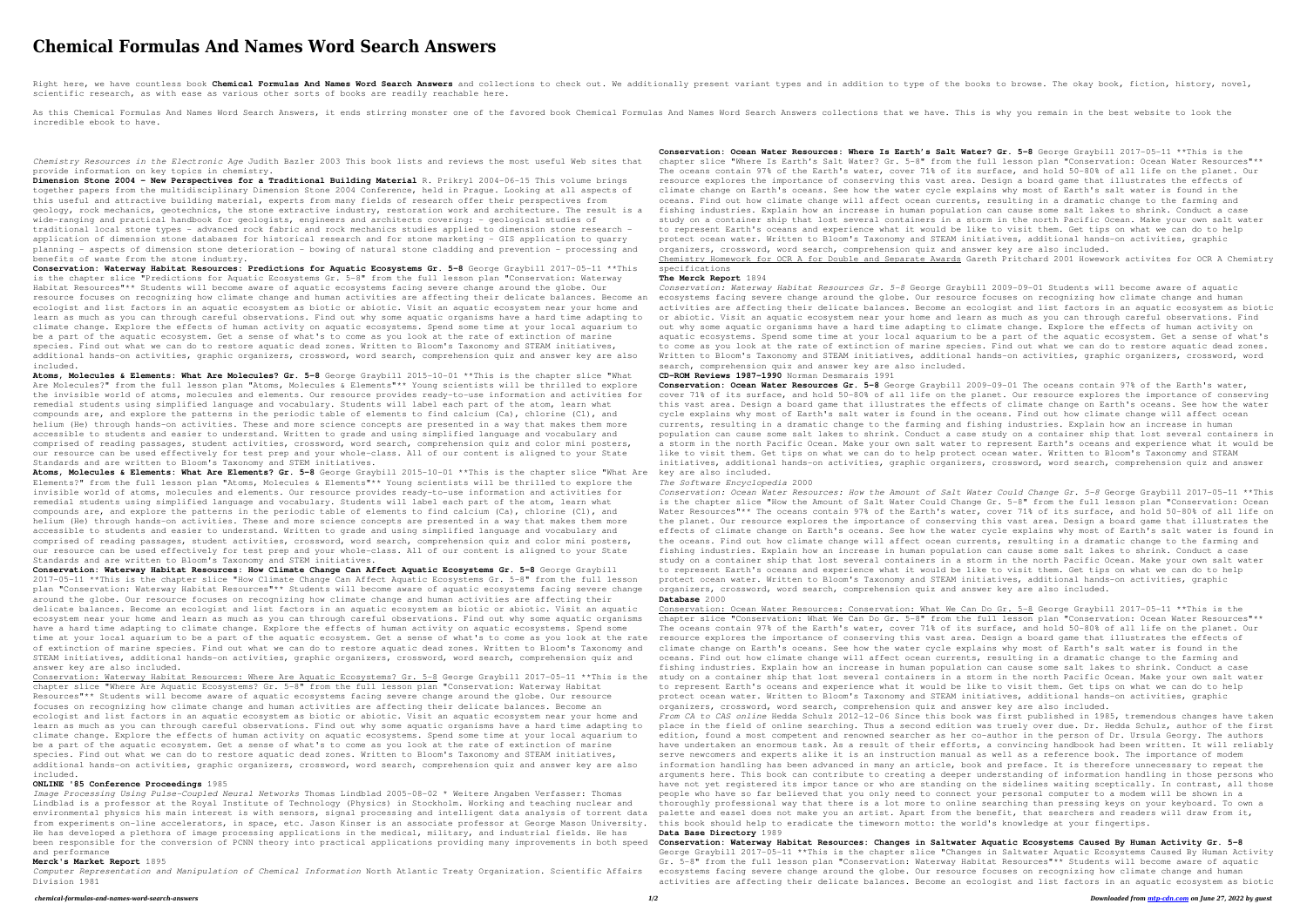# **Chemical Formulas And Names Word Search Answers**

Right here, we have countless book Chemical Formulas And Names Word Search Answers and collections to check out. We additionally present variant types and in addition to type of the books to browse. The okay book, fiction, scientific research, as with ease as various other sorts of books are readily reachable here.

As this Chemical Formulas And Names Word Search Answers, it ends stirring monster one of the favored book Chemical Formulas And Names Word Search Answers collections that we have. This is why you remain in the best website incredible ebook to have.

*Chemistry Resources in the Electronic Age* Judith Bazler 2003 This book lists and reviews the most useful Web sites that provide information on key topics in chemistry.

**Dimension Stone 2004 - New Perspectives for a Traditional Building Material** R. Prikryl 2004-06-15 This volume brings together papers from the multidisciplinary Dimension Stone 2004 Conference, held in Prague. Looking at all aspects of this useful and attractive building material, experts from many fields of research offer their perspectives from geology, rock mechanics, geotechnics, the stone extractive industry, restoration work and architecture. The result is a wide-ranging and practical handbook for geologists, engineers and architects covering: - geological studies of traditional local stone types - advanced rock fabric and rock mechanics studies applied to dimension stone research application of dimension stone databases for historical research and for stone marketing - GIS application to quarry planning - aspects of dimension stone deterioration - bowing of natural stone cladding and prevention - processing and benefits of waste from the stone industry.

**Conservation: Waterway Habitat Resources: Predictions for Aquatic Ecosystems Gr. 5-8** George Graybill 2017-05-11 \*\*This is the chapter slice "Predictions for Aquatic Ecosystems Gr. 5-8" from the full lesson plan "Conservation: Waterway Habitat Resources"\*\* Students will become aware of aquatic ecosystems facing severe change around the globe. Our resource focuses on recognizing how climate change and human activities are affecting their delicate balances. Become an ecologist and list factors in an aquatic ecosystem as biotic or abiotic. Visit an aquatic ecosystem near your home and learn as much as you can through careful observations. Find out why some aquatic organisms have a hard time adapting to climate change. Explore the effects of human activity on aquatic ecosystems. Spend some time at your local aquarium to be a part of the aquatic ecosystem. Get a sense of what's to come as you look at the rate of extinction of marine species. Find out what we can do to restore aquatic dead zones. Written to Bloom's Taxonomy and STEAM initiatives, additional hands-on activities, graphic organizers, crossword, word search, comprehension quiz and answer key are also included.

**Atoms, Molecules & Elements: What Are Molecules? Gr. 5-8** George Graybill 2015-10-01 \*\*This is the chapter slice "What Are Molecules?" from the full lesson plan "Atoms, Molecules & Elements"\*\* Young scientists will be thrilled to explore the invisible world of atoms, molecules and elements. Our resource provides ready-to-use information and activities for remedial students using simplified language and vocabulary. Students will label each part of the atom, learn what compounds are, and explore the patterns in the periodic table of elements to find calcium (Ca), chlorine (Cl), and helium (He) through hands-on activities. These and more science concepts are presented in a way that makes them more accessible to students and easier to understand. Written to grade and using simplified language and vocabulary and comprised of reading passages, student activities, crossword, word search, comprehension quiz and color mini posters, our resource can be used effectively for test prep and your whole-class. All of our content is aligned to your State Standards and are written to Bloom's Taxonomy and STEM initiatives.

Computer Representation and Manipulation of Chemical Information North Atlantic Treaty Organization. Scientific Affairs ecosystems facing severe change around the globe. Our resource focuses on recognizing how climate chan Division 1981

**Atoms, Molecules & Elements: What Are Elements? Gr. 5-8** George Graybill 2015-10-01 \*\*This is the chapter slice "What Are Elements?" from the full lesson plan "Atoms, Molecules & Elements"\*\* Young scientists will be thrilled to explore the invisible world of atoms, molecules and elements. Our resource provides ready-to-use information and activities for remedial students using simplified language and vocabulary. Students will label each part of the atom, learn what compounds are, and explore the patterns in the periodic table of elements to find calcium (Ca), chlorine (Cl), and helium (He) through hands-on activities. These and more science concepts are presented in a way that makes them more accessible to students and easier to understand. Written to grade and using simplified language and vocabulary and comprised of reading passages, student activities, crossword, word search, comprehension quiz and color mini posters, our resource can be used effectively for test prep and your whole-class. All of our content is aligned to your State Standards and are written to Bloom's Taxonomy and STEM initiatives.

**Conservation: Waterway Habitat Resources: How Climate Change Can Affect Aquatic Ecosystems Gr. 5-8** George Graybill 2017-05-11 \*\*This is the chapter slice "How Climate Change Can Affect Aquatic Ecosystems Gr. 5-8" from the full lesson plan "Conservation: Waterway Habitat Resources"\*\* Students will become aware of aquatic ecosystems facing severe change around the globe. Our resource focuses on recognizing how climate change and human activities are affecting their delicate balances. Become an ecologist and list factors in an aquatic ecosystem as biotic or abiotic. Visit an aquatic ecosystem near your home and learn as much as you can through careful observations. Find out why some aquatic organisms have a hard time adapting to climate change. Explore the effects of human activity on aquatic ecosystems. Spend some time at your local aquarium to be a part of the aquatic ecosystem. Get a sense of what's to come as you look at the rate of extinction of marine species. Find out what we can do to restore aquatic dead zones. Written to Bloom's Taxonomy and STEAM initiatives, additional hands-on activities, graphic organizers, crossword, word search, comprehension quiz and answer key are also included.

Conservation: Waterway Habitat Resources: Where Are Aquatic Ecosystems? Gr. 5-8 George Graybill 2017-05-11 \*\*This is the chapter slice "Where Are Aquatic Ecosystems? Gr. 5-8" from the full lesson plan "Conservation: Waterway Habitat Resources"\*\* Students will become aware of aquatic ecosystems facing severe change around the globe. Our resource focuses on recognizing how climate change and human activities are affecting their delicate balances. Become an ecologist and list factors in an aquatic ecosystem as biotic or abiotic. Visit an aquatic ecosystem near your home and learn as much as you can through careful observations. Find out why some aquatic organisms have a hard time adapting to climate change. Explore the effects of human activity on aquatic ecosystems. Spend some time at your local aquarium to be a part of the aquatic ecosystem. Get a sense of what's to come as you look at the rate of extinction of marine species. Find out what we can do to restore aquatic dead zones. Written to Bloom's Taxonomy and STEAM initiatives, additional hands-on activities, graphic organizers, crossword, word search, comprehension quiz and answer key are also included.

#### **ONLINE '85 Conference Proceedings** 1985

*Image Processing Using Pulse-Coupled Neural Networks* Thomas Lindblad 2005-08-02 \* Weitere Angaben Verfasser: Thomas Lindblad is a professor at the Royal Institute of Technology (Physics) in Stockholm. Working and teaching nuclear and environmental physics his main interest is with sensors, signal processing and intelligent data analysis of torrent data from experiments on-line accelerators, in space, etc. Jason Kinser is an associate professor at George Mason University. He has developed a plethora of image processing applications in the medical, military, and industrial fields. He has been responsible for the conversion of PCNN theory into practical applications providing many improvements in both speed Conservation: Waterway Habitat Resources: Changes in Saltwater Aquatic Ecosystems Caused By Human Act and performance

### **Merck's Market Report** 1895

**Conservation: Ocean Water Resources: Where Is Earth's Salt Water? Gr. 5-8** George Graybill 2017-05-11 \*\*This is the chapter slice "Where Is Earth's Salt Water? Gr. 5-8" from the full lesson plan "Conservation: Ocean Water Resources"\*\* The oceans contain 97% of the Earth's water, cover 71% of its surface, and hold 50-80% of all life on the planet. Our resource explores the importance of conserving this vast area. Design a board game that illustrates the effects of climate change on Earth's oceans. See how the water cycle explains why most of Earth's salt water is found in the oceans. Find out how climate change will affect ocean currents, resulting in a dramatic change to the farming and fishing industries. Explain how an increase in human population can cause some salt lakes to shrink. Conduct a case study on a container ship that lost several containers in a storm in the north Pacific Ocean. Make your own salt water to represent Earth's oceans and experience what it would be like to visit them. Get tips on what we can do to help protect ocean water. Written to Bloom's Taxonomy and STEAM initiatives, additional hands-on activities, graphic organizers, crossword, word search, comprehension quiz and answer key are also included. Chemistry Homework for OCR A for Double and Separate Awards Gareth Pritchard 2001 Howework activites for OCR A Chemistry

specifications

## **The Merck Report** 1894

*Conservation: Waterway Habitat Resources Gr. 5-8* George Graybill 2009-09-01 Students will become aware of aquatic ecosystems facing severe change around the globe. Our resource focuses on recognizing how climate change and human activities are affecting their delicate balances. Become an ecologist and list factors in an aquatic ecosystem as biotic or abiotic. Visit an aquatic ecosystem near your home and learn as much as you can through careful observations. Find out why some aquatic organisms have a hard time adapting to climate change. Explore the effects of human activity on aquatic ecosystems. Spend some time at your local aquarium to be a part of the aquatic ecosystem. Get a sense of what's to come as you look at the rate of extinction of marine species. Find out what we can do to restore aquatic dead zones. Written to Bloom's Taxonomy and STEAM initiatives, additional hands-on activities, graphic organizers, crossword, word search, comprehension quiz and answer key are also included.

## **CD-ROM Reviews 1987-1990** Norman Desmarais 1991

**Conservation: Ocean Water Resources Gr. 5-8** George Graybill 2009-09-01 The oceans contain 97% of the Earth's water, cover 71% of its surface, and hold 50-80% of all life on the planet. Our resource explores the importance of conserving this vast area. Design a board game that illustrates the effects of climate change on Earth's oceans. See how the water cycle explains why most of Earth's salt water is found in the oceans. Find out how climate change will affect ocean currents, resulting in a dramatic change to the farming and fishing industries. Explain how an increase in human population can cause some salt lakes to shrink. Conduct a case study on a container ship that lost several containers in a storm in the north Pacific Ocean. Make your own salt water to represent Earth's oceans and experience what it would be like to visit them. Get tips on what we can do to help protect ocean water. Written to Bloom's Taxonomy and STEAM initiatives, additional hands-on activities, graphic organizers, crossword, word search, comprehension quiz and answer key are also included.

#### *The Software Encyclopedia* 2000

*Conservation: Ocean Water Resources: How the Amount of Salt Water Could Change Gr. 5-8* George Graybill 2017-05-11 \*\*This is the chapter slice "How the Amount of Salt Water Could Change Gr. 5-8" from the full lesson plan "Conservation: Ocean Water Resources"\*\* The oceans contain 97% of the Earth's water, cover 71% of its surface, and hold 50-80% of all life on the planet. Our resource explores the importance of conserving this vast area. Design a board game that illustrates the effects of climate change on Earth's oceans. See how the water cycle explains why most of Earth's salt water is found in the oceans. Find out how climate change will affect ocean currents, resulting in a dramatic change to the farming and fishing industries. Explain how an increase in human population can cause some salt lakes to shrink. Conduct a case study on a container ship that lost several containers in a storm in the north Pacific Ocean. Make your own salt water to represent Earth's oceans and experience what it would be like to visit them. Get tips on what we can do to help protect ocean water. Written to Bloom's Taxonomy and STEAM initiatives, additional hands-on activities, graphic

organizers, crossword, word search, comprehension quiz and answer key are also included. **Database** 2000 Conservation: Ocean Water Resources: Conservation: What We Can Do Gr. 5-8 George Graybill 2017-05-11 \*\*This is the chapter slice "Conservation: What We Can Do Gr. 5-8" from the full lesson plan "Conservation: Ocean Water Resources"\*\* The oceans contain 97% of the Earth's water, cover 71% of its surface, and hold 50-80% of all life on the planet. Our resource explores the importance of conserving this vast area. Design a board game that illustrates the effects of climate change on Earth's oceans. See how the water cycle explains why most of Earth's salt water is found in the oceans. Find out how climate change will affect ocean currents, resulting in a dramatic change to the farming and fishing industries. Explain how an increase in human population can cause some salt lakes to shrink. Conduct a case study on a container ship that lost several containers in a storm in the north Pacific Ocean. Make your own salt water to represent Earth's oceans and experience what it would be like to visit them. Get tips on what we can do to help protect ocean water. Written to Bloom's Taxonomy and STEAM initiatives, additional hands-on activities, graphic organizers, crossword, word search, comprehension quiz and answer key are also included. *From CA to CAS online* Hedda Schulz 2012-12-06 Since this book was first published in 1985, tremendous changes have taken place in the field of online searching. Thus a second edition was truely over due. Dr. Hedda Schulz, author of the first edition, found a most competent and renowned searcher as her co-author in the person of Dr. Ursula Georgy. The authors have undertaken an enormous task. As a result of their efforts, a convincing handbook had been written. It will reliably serve newcomers and experts alike it is an instruction manual as well as a reference book. The importance of modem information handling has been advanced in many an article, book and preface. It is therefore unnecessary to repeat the arguments here. This book can contribute to creating a deeper understanding of information handling in those persons who have not yet registered its impor tance or who are standing on the sidelines waiting sceptically. In contrast, all those people who have so far believed that you only need to connect your personal computer to a modem will be shown in a thoroughly professional way that there is a lot more to online searching than pressing keys on your keyboard. To own a palette and easel does not make you an artist. Apart from the benefit, that searchers and readers will draw from it, this book should help to eradicate the timeworn motto: the world's knowledge at your fingertips. **Data Base Directory** 1989 George Graybill 2017-05-11 \*\*This is the chapter slice "Changes in Saltwater Aquatic Ecosystems Caused By Human Activity Gr. 5-8" from the full lesson plan "Conservation: Waterway Habitat Resources"\*\* Students will become aware of aquatic activities are affecting their delicate balances. Become an ecologist and list factors in an aquatic ecosystem as biotic